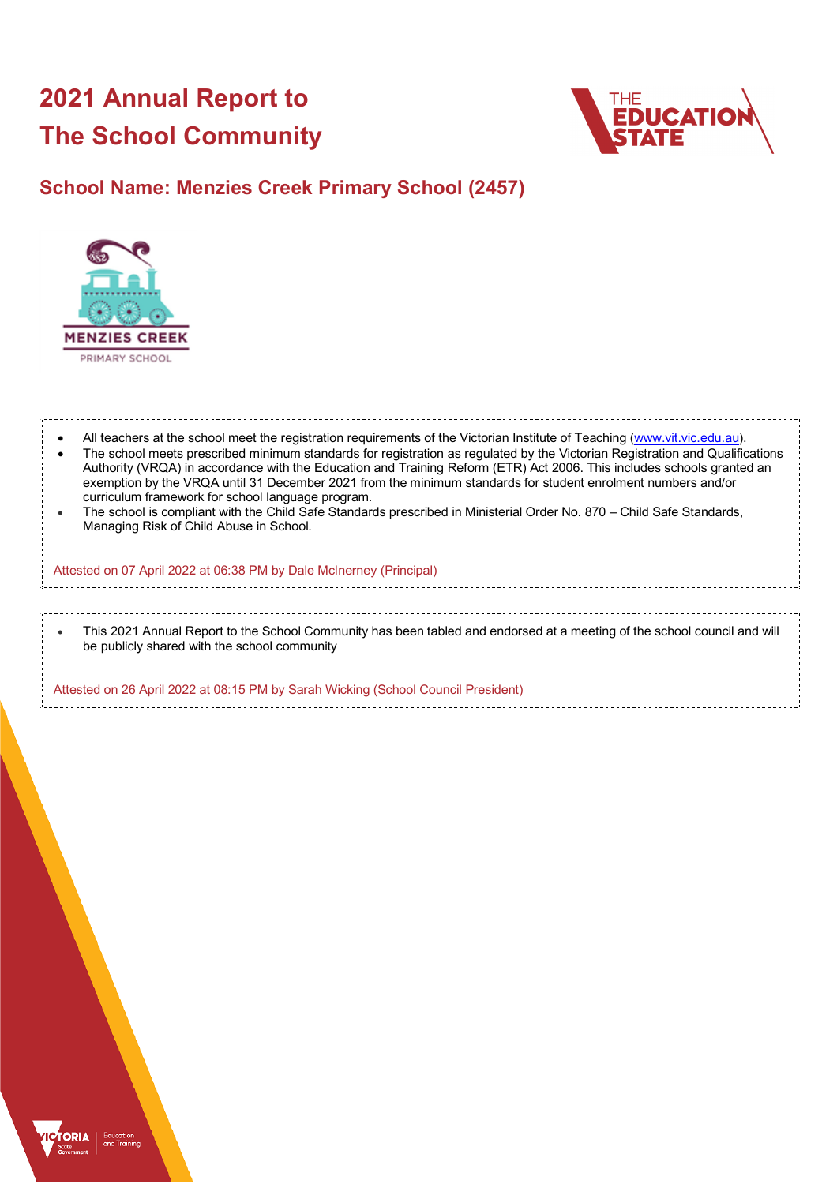# **2021 Annual Report to The School Community**



## **School Name: Menzies Creek Primary School (2457)**



All teachers at the school meet the registration requirements of the Victorian Institute of Teaching (www.vit.vic.edu.au). • The school meets prescribed minimum standards for registration as regulated by the Victorian Registration and Qualifications Authority (VRQA) in accordance with the Education and Training Reform (ETR) Act 2006. This includes schools granted an exemption by the VRQA until 31 December 2021 from the minimum standards for student enrolment numbers and/or curriculum framework for school language program. • The school is compliant with the Child Safe Standards prescribed in Ministerial Order No. 870 – Child Safe Standards, Managing Risk of Child Abuse in School. Attested on 07 April 2022 at 06:38 PM by Dale McInerney (Principal) • This 2021 Annual Report to the School Community has been tabled and endorsed at a meeting of the school council and will be publicly shared with the school community

Attested on 26 April 2022 at 08:15 PM by Sarah Wicking (School Council President)

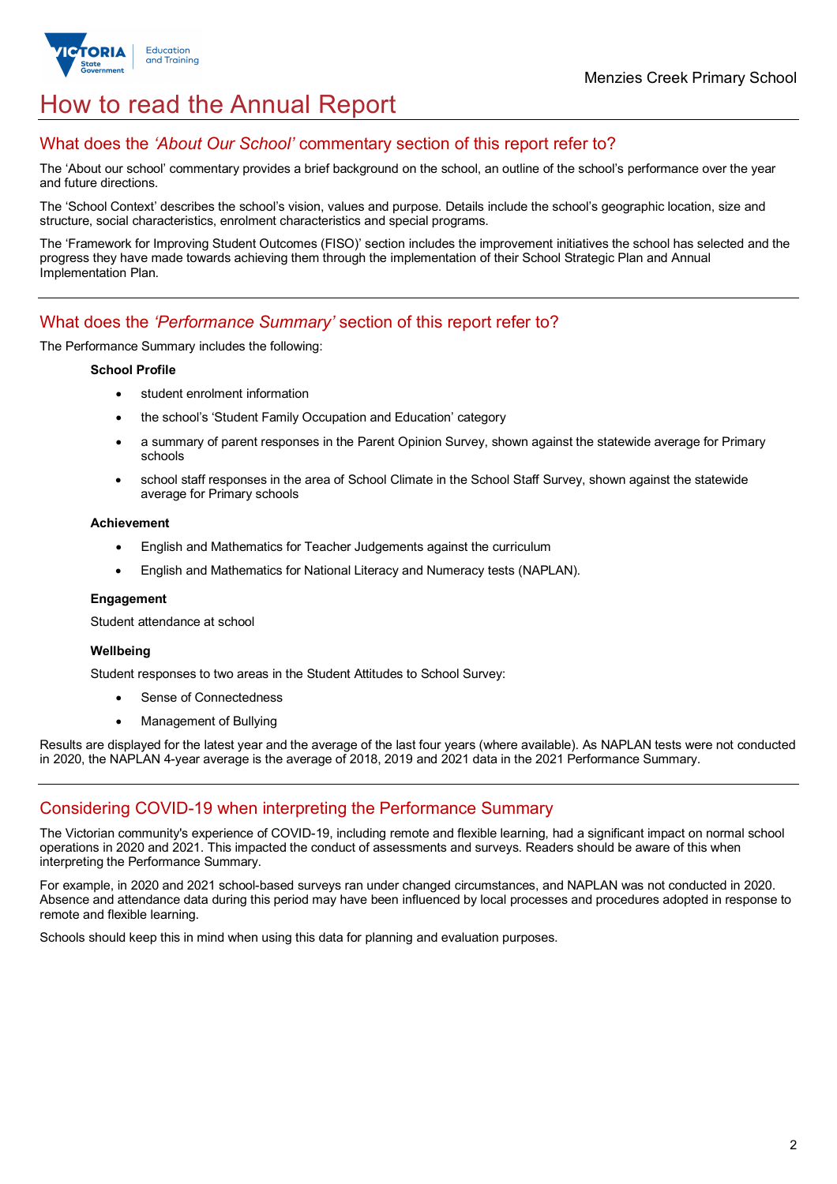

## How to read the Annual Report

## What does the *'About Our School'* commentary section of this report refer to?

The 'About our school' commentary provides a brief background on the school, an outline of the school's performance over the year and future directions.

The 'School Context' describes the school's vision, values and purpose. Details include the school's geographic location, size and structure, social characteristics, enrolment characteristics and special programs.

The 'Framework for Improving Student Outcomes (FISO)' section includes the improvement initiatives the school has selected and the progress they have made towards achieving them through the implementation of their School Strategic Plan and Annual Implementation Plan.

## What does the *'Performance Summary'* section of this report refer to?

The Performance Summary includes the following:

#### **School Profile**

- student enrolment information
- the school's 'Student Family Occupation and Education' category
- a summary of parent responses in the Parent Opinion Survey, shown against the statewide average for Primary schools
- school staff responses in the area of School Climate in the School Staff Survey, shown against the statewide average for Primary schools

#### **Achievement**

- English and Mathematics for Teacher Judgements against the curriculum
- English and Mathematics for National Literacy and Numeracy tests (NAPLAN).

#### **Engagement**

Student attendance at school

#### **Wellbeing**

Student responses to two areas in the Student Attitudes to School Survey:

- Sense of Connectedness
- Management of Bullying

Results are displayed for the latest year and the average of the last four years (where available). As NAPLAN tests were not conducted in 2020, the NAPLAN 4-year average is the average of 2018, 2019 and 2021 data in the 2021 Performance Summary.

## Considering COVID-19 when interpreting the Performance Summary

The Victorian community's experience of COVID-19, including remote and flexible learning, had a significant impact on normal school operations in 2020 and 2021. This impacted the conduct of assessments and surveys. Readers should be aware of this when interpreting the Performance Summary.

For example, in 2020 and 2021 school-based surveys ran under changed circumstances, and NAPLAN was not conducted in 2020. Absence and attendance data during this period may have been influenced by local processes and procedures adopted in response to remote and flexible learning.

Schools should keep this in mind when using this data for planning and evaluation purposes.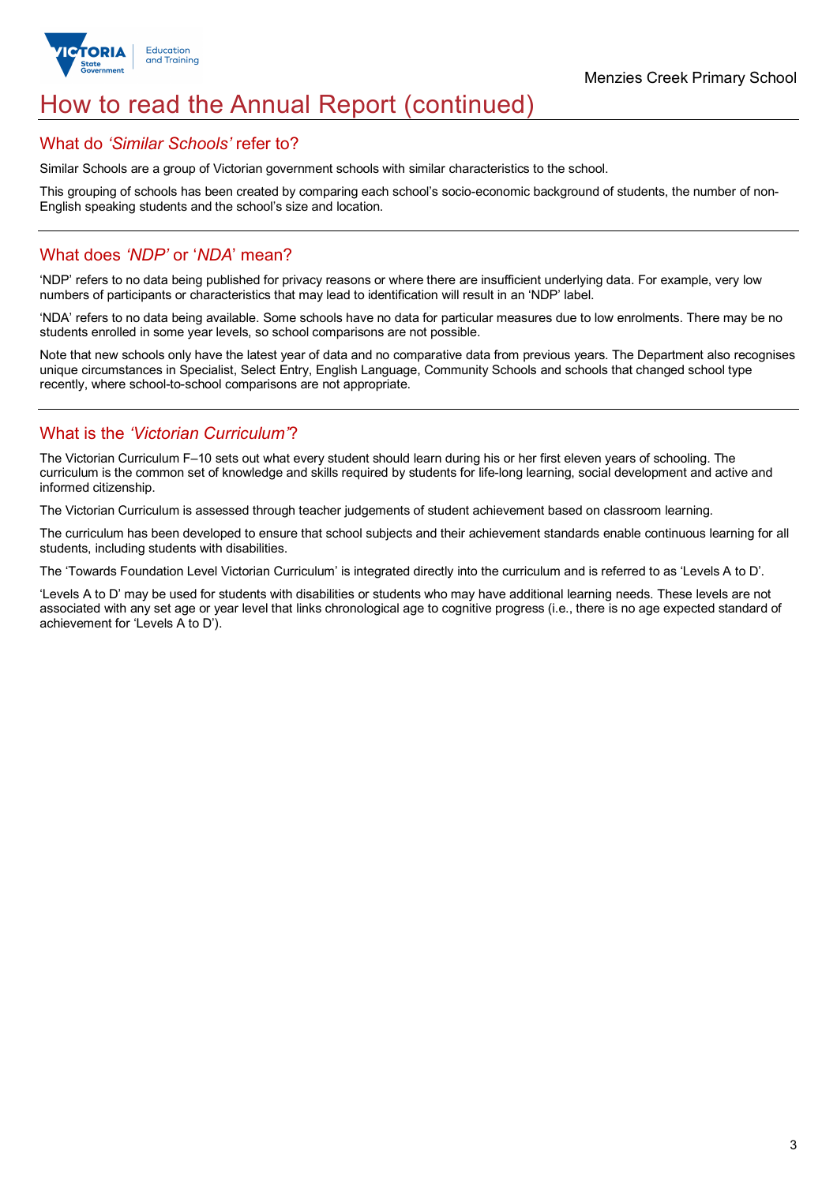

## How to read the Annual Report (continued)

### What do *'Similar Schools'* refer to?

Similar Schools are a group of Victorian government schools with similar characteristics to the school.

This grouping of schools has been created by comparing each school's socio-economic background of students, the number of non-English speaking students and the school's size and location.

### What does *'NDP'* or '*NDA*' mean?

'NDP' refers to no data being published for privacy reasons or where there are insufficient underlying data. For example, very low numbers of participants or characteristics that may lead to identification will result in an 'NDP' label.

'NDA' refers to no data being available. Some schools have no data for particular measures due to low enrolments. There may be no students enrolled in some year levels, so school comparisons are not possible.

Note that new schools only have the latest year of data and no comparative data from previous years. The Department also recognises unique circumstances in Specialist, Select Entry, English Language, Community Schools and schools that changed school type recently, where school-to-school comparisons are not appropriate.

## What is the *'Victorian Curriculum'*?

The Victorian Curriculum F–10 sets out what every student should learn during his or her first eleven years of schooling. The curriculum is the common set of knowledge and skills required by students for life-long learning, social development and active and informed citizenship.

The Victorian Curriculum is assessed through teacher judgements of student achievement based on classroom learning.

The curriculum has been developed to ensure that school subjects and their achievement standards enable continuous learning for all students, including students with disabilities.

The 'Towards Foundation Level Victorian Curriculum' is integrated directly into the curriculum and is referred to as 'Levels A to D'.

'Levels A to D' may be used for students with disabilities or students who may have additional learning needs. These levels are not associated with any set age or year level that links chronological age to cognitive progress (i.e., there is no age expected standard of achievement for 'Levels A to D').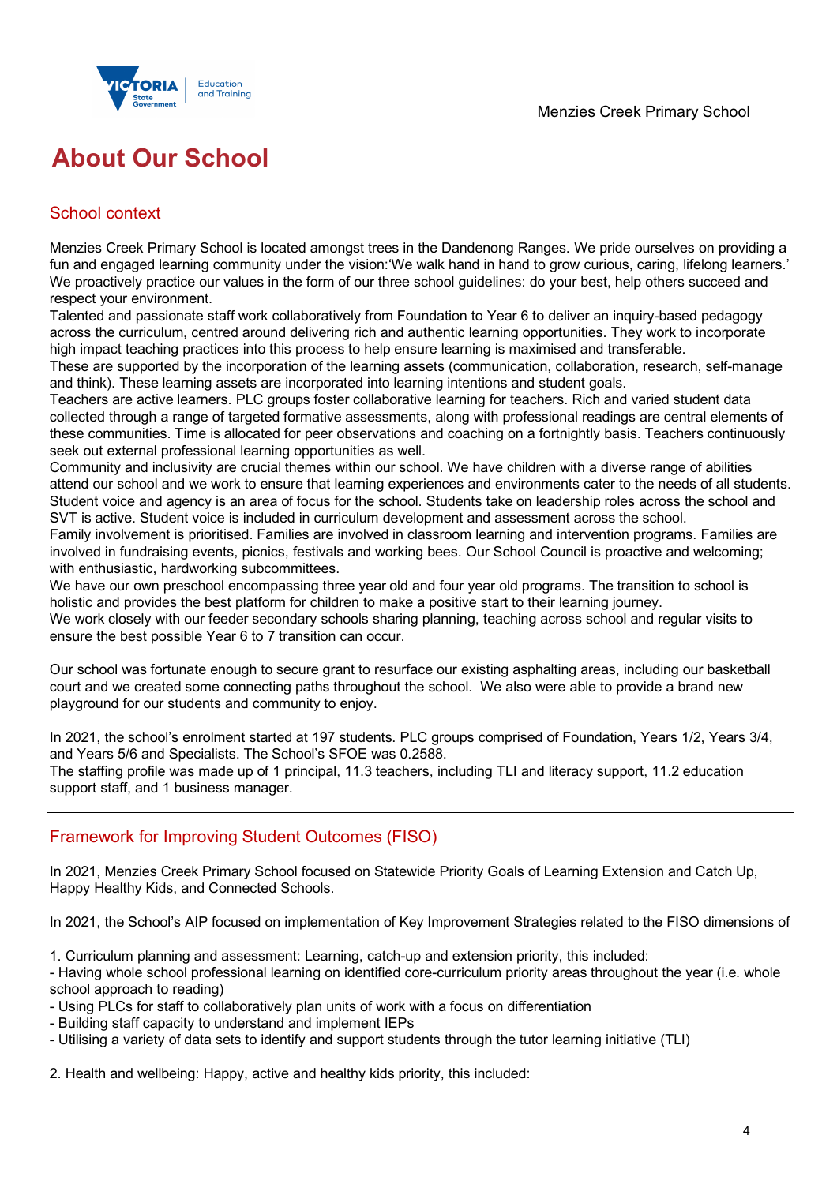

## **About Our School**

## School context

Menzies Creek Primary School is located amongst trees in the Dandenong Ranges. We pride ourselves on providing a fun and engaged learning community under the vision:'We walk hand in hand to grow curious, caring, lifelong learners.' We proactively practice our values in the form of our three school guidelines: do your best, help others succeed and respect your environment.

Talented and passionate staff work collaboratively from Foundation to Year 6 to deliver an inquiry-based pedagogy across the curriculum, centred around delivering rich and authentic learning opportunities. They work to incorporate high impact teaching practices into this process to help ensure learning is maximised and transferable.

These are supported by the incorporation of the learning assets (communication, collaboration, research, self-manage and think). These learning assets are incorporated into learning intentions and student goals.

Teachers are active learners. PLC groups foster collaborative learning for teachers. Rich and varied student data collected through a range of targeted formative assessments, along with professional readings are central elements of these communities. Time is allocated for peer observations and coaching on a fortnightly basis. Teachers continuously seek out external professional learning opportunities as well.

Community and inclusivity are crucial themes within our school. We have children with a diverse range of abilities attend our school and we work to ensure that learning experiences and environments cater to the needs of all students. Student voice and agency is an area of focus for the school. Students take on leadership roles across the school and SVT is active. Student voice is included in curriculum development and assessment across the school.

Family involvement is prioritised. Families are involved in classroom learning and intervention programs. Families are involved in fundraising events, picnics, festivals and working bees. Our School Council is proactive and welcoming; with enthusiastic, hardworking subcommittees.

We have our own preschool encompassing three year old and four year old programs. The transition to school is holistic and provides the best platform for children to make a positive start to their learning journey.

We work closely with our feeder secondary schools sharing planning, teaching across school and regular visits to ensure the best possible Year 6 to 7 transition can occur.

Our school was fortunate enough to secure grant to resurface our existing asphalting areas, including our basketball court and we created some connecting paths throughout the school. We also were able to provide a brand new playground for our students and community to enjoy.

In 2021, the school's enrolment started at 197 students. PLC groups comprised of Foundation, Years 1/2, Years 3/4, and Years 5/6 and Specialists. The School's SFOE was 0.2588.

The staffing profile was made up of 1 principal, 11.3 teachers, including TLI and literacy support, 11.2 education support staff, and 1 business manager.

## Framework for Improving Student Outcomes (FISO)

In 2021, Menzies Creek Primary School focused on Statewide Priority Goals of Learning Extension and Catch Up, Happy Healthy Kids, and Connected Schools.

In 2021, the School's AIP focused on implementation of Key Improvement Strategies related to the FISO dimensions of

- 1. Curriculum planning and assessment: Learning, catch-up and extension priority, this included:
- Having whole school professional learning on identified core-curriculum priority areas throughout the year (i.e. whole school approach to reading)
- Using PLCs for staff to collaboratively plan units of work with a focus on differentiation
- Building staff capacity to understand and implement IEPs
- Utilising a variety of data sets to identify and support students through the tutor learning initiative (TLI)

2. Health and wellbeing: Happy, active and healthy kids priority, this included: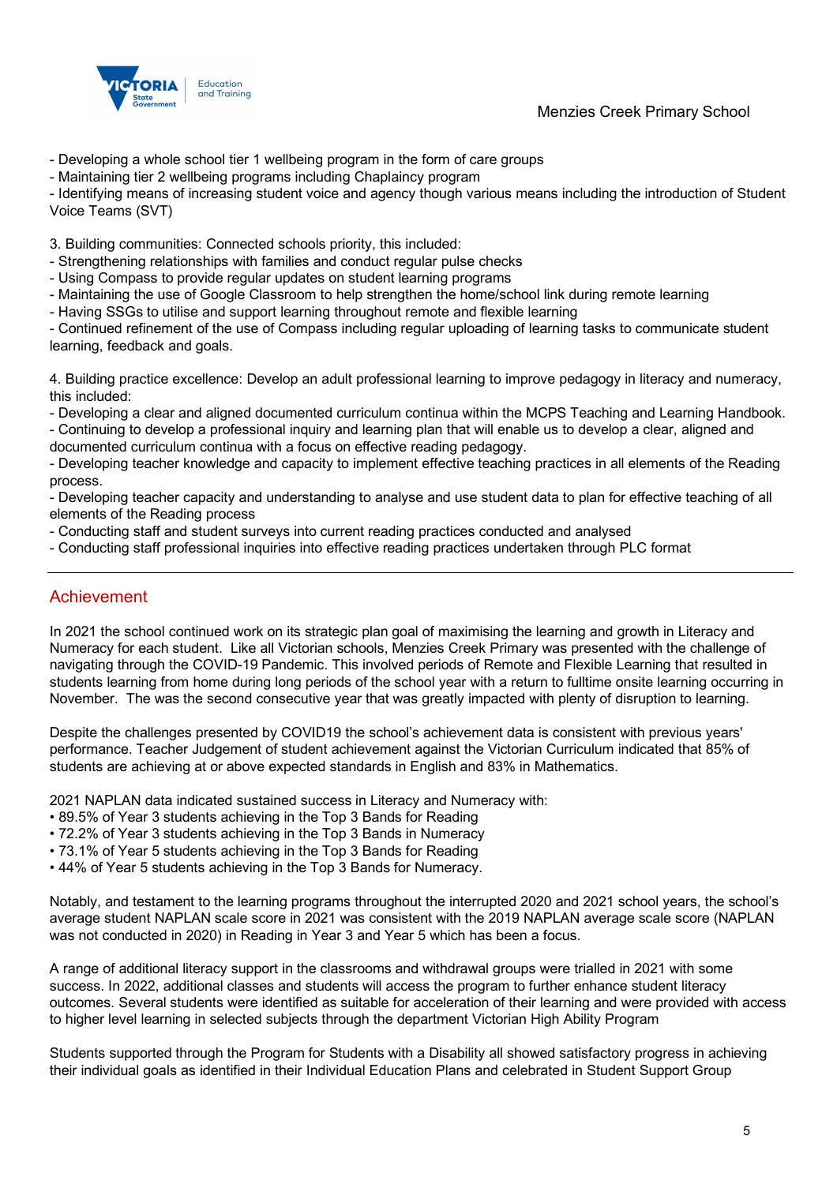



- Developing a whole school tier 1 wellbeing program in the form of care groups
- Maintaining tier 2 wellbeing programs including Chaplaincy program

- Identifying means of increasing student voice and agency though various means including the introduction of Student Voice Teams (SVT)

3. Building communities: Connected schools priority, this included:

- Strengthening relationships with families and conduct regular pulse checks
- Using Compass to provide regular updates on student learning programs
- Maintaining the use of Google Classroom to help strengthen the home/school link during remote learning
- Having SSGs to utilise and support learning throughout remote and flexible learning

- Continued refinement of the use of Compass including regular uploading of learning tasks to communicate student learning, feedback and goals.

4. Building practice excellence: Develop an adult professional learning to improve pedagogy in literacy and numeracy, this included:

- Developing a clear and aligned documented curriculum continua within the MCPS Teaching and Learning Handbook.

- Continuing to develop a professional inquiry and learning plan that will enable us to develop a clear, aligned and documented curriculum continua with a focus on effective reading pedagogy.

- Developing teacher knowledge and capacity to implement effective teaching practices in all elements of the Reading process.

- Developing teacher capacity and understanding to analyse and use student data to plan for effective teaching of all elements of the Reading process

- Conducting staff and student surveys into current reading practices conducted and analysed
- Conducting staff professional inquiries into effective reading practices undertaken through PLC format

### Achievement

In 2021 the school continued work on its strategic plan goal of maximising the learning and growth in Literacy and Numeracy for each student. Like all Victorian schools, Menzies Creek Primary was presented with the challenge of navigating through the COVID-19 Pandemic. This involved periods of Remote and Flexible Learning that resulted in students learning from home during long periods of the school year with a return to fulltime onsite learning occurring in November. The was the second consecutive year that was greatly impacted with plenty of disruption to learning.

Despite the challenges presented by COVID19 the school's achievement data is consistent with previous years' performance. Teacher Judgement of student achievement against the Victorian Curriculum indicated that 85% of students are achieving at or above expected standards in English and 83% in Mathematics.

2021 NAPLAN data indicated sustained success in Literacy and Numeracy with:

- 89.5% of Year 3 students achieving in the Top 3 Bands for Reading
- 72.2% of Year 3 students achieving in the Top 3 Bands in Numeracy
- 73.1% of Year 5 students achieving in the Top 3 Bands for Reading
- 44% of Year 5 students achieving in the Top 3 Bands for Numeracy.

Notably, and testament to the learning programs throughout the interrupted 2020 and 2021 school years, the school's average student NAPLAN scale score in 2021 was consistent with the 2019 NAPLAN average scale score (NAPLAN was not conducted in 2020) in Reading in Year 3 and Year 5 which has been a focus.

A range of additional literacy support in the classrooms and withdrawal groups were trialled in 2021 with some success. In 2022, additional classes and students will access the program to further enhance student literacy outcomes. Several students were identified as suitable for acceleration of their learning and were provided with access to higher level learning in selected subjects through the department Victorian High Ability Program

Students supported through the Program for Students with a Disability all showed satisfactory progress in achieving their individual goals as identified in their Individual Education Plans and celebrated in Student Support Group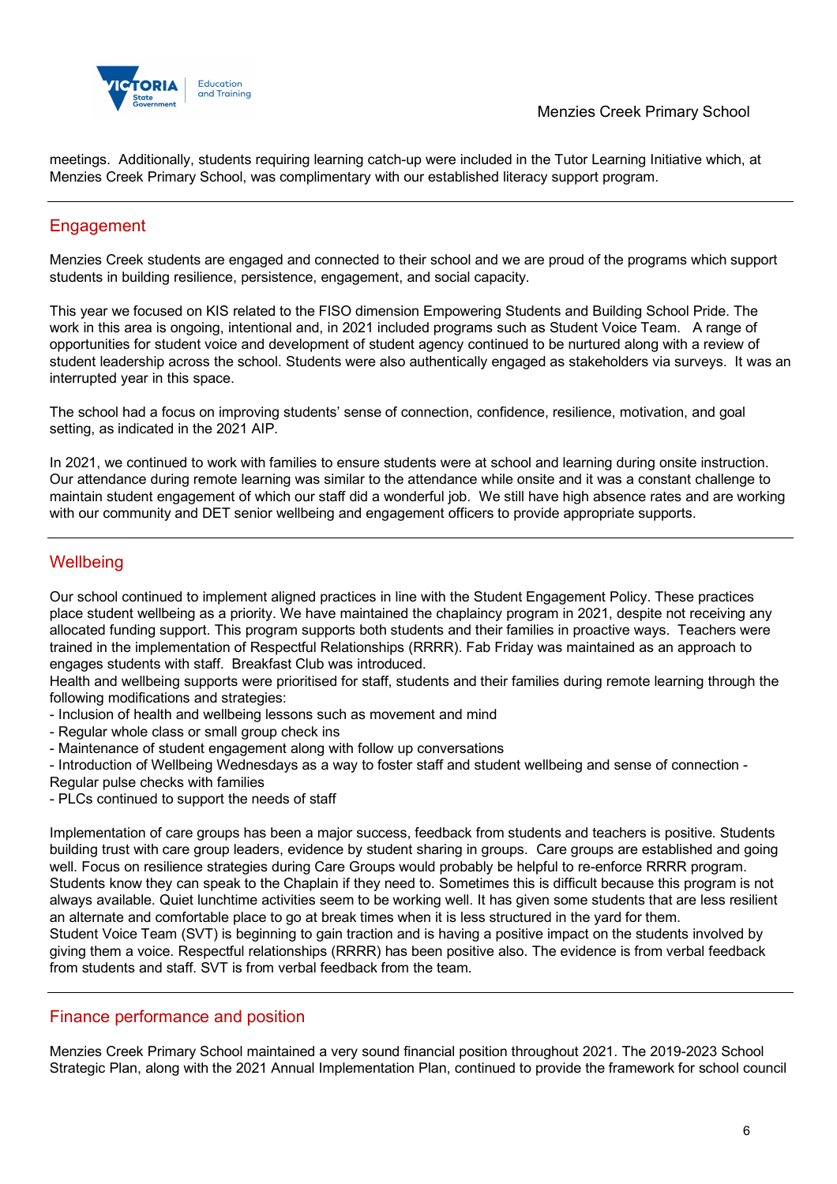

meetings. Additionally, students requiring learning catch-up were included in the Tutor Learning Initiative which, at Menzies Creek Primary School, was complimentary with our established literacy support program.

## Engagement

Menzies Creek students are engaged and connected to their school and we are proud of the programs which support students in building resilience, persistence, engagement, and social capacity.

This year we focused on KIS related to the FISO dimension Empowering Students and Building School Pride. The work in this area is ongoing, intentional and, in 2021 included programs such as Student Voice Team. A range of opportunities for student voice and development of student agency continued to be nurtured along with a review of student leadership across the school. Students were also authentically engaged as stakeholders via surveys. It was an interrupted year in this space.

The school had a focus on improving students' sense of connection, confidence, resilience, motivation, and goal setting, as indicated in the 2021 AIP.

In 2021, we continued to work with families to ensure students were at school and learning during onsite instruction. Our attendance during remote learning was similar to the attendance while onsite and it was a constant challenge to maintain student engagement of which our staff did a wonderful job. We still have high absence rates and are working with our community and DET senior wellbeing and engagement officers to provide appropriate supports.

## **Wellbeing**

Our school continued to implement aligned practices in line with the Student Engagement Policy. These practices place student wellbeing as a priority. We have maintained the chaplaincy program in 2021, despite not receiving any allocated funding support. This program supports both students and their families in proactive ways. Teachers were trained in the implementation of Respectful Relationships (RRRR). Fab Friday was maintained as an approach to engages students with staff. Breakfast Club was introduced.

Health and wellbeing supports were prioritised for staff, students and their families during remote learning through the following modifications and strategies:

- Inclusion of health and wellbeing lessons such as movement and mind
- Regular whole class or small group check ins
- Maintenance of student engagement along with follow up conversations

- Introduction of Wellbeing Wednesdays as a way to foster staff and student wellbeing and sense of connection - Regular pulse checks with families

- PLCs continued to support the needs of staff

Implementation of care groups has been a major success, feedback from students and teachers is positive. Students building trust with care group leaders, evidence by student sharing in groups. Care groups are established and going well. Focus on resilience strategies during Care Groups would probably be helpful to re-enforce RRRR program. Students know they can speak to the Chaplain if they need to. Sometimes this is difficult because this program is not always available. Quiet lunchtime activities seem to be working well. It has given some students that are less resilient an alternate and comfortable place to go at break times when it is less structured in the yard for them.

Student Voice Team (SVT) is beginning to gain traction and is having a positive impact on the students involved by giving them a voice. Respectful relationships (RRRR) has been positive also. The evidence is from verbal feedback from students and staff. SVT is from verbal feedback from the team.

### Finance performance and position

Menzies Creek Primary School maintained a very sound financial position throughout 2021. The 2019-2023 School Strategic Plan, along with the 2021 Annual Implementation Plan, continued to provide the framework for school council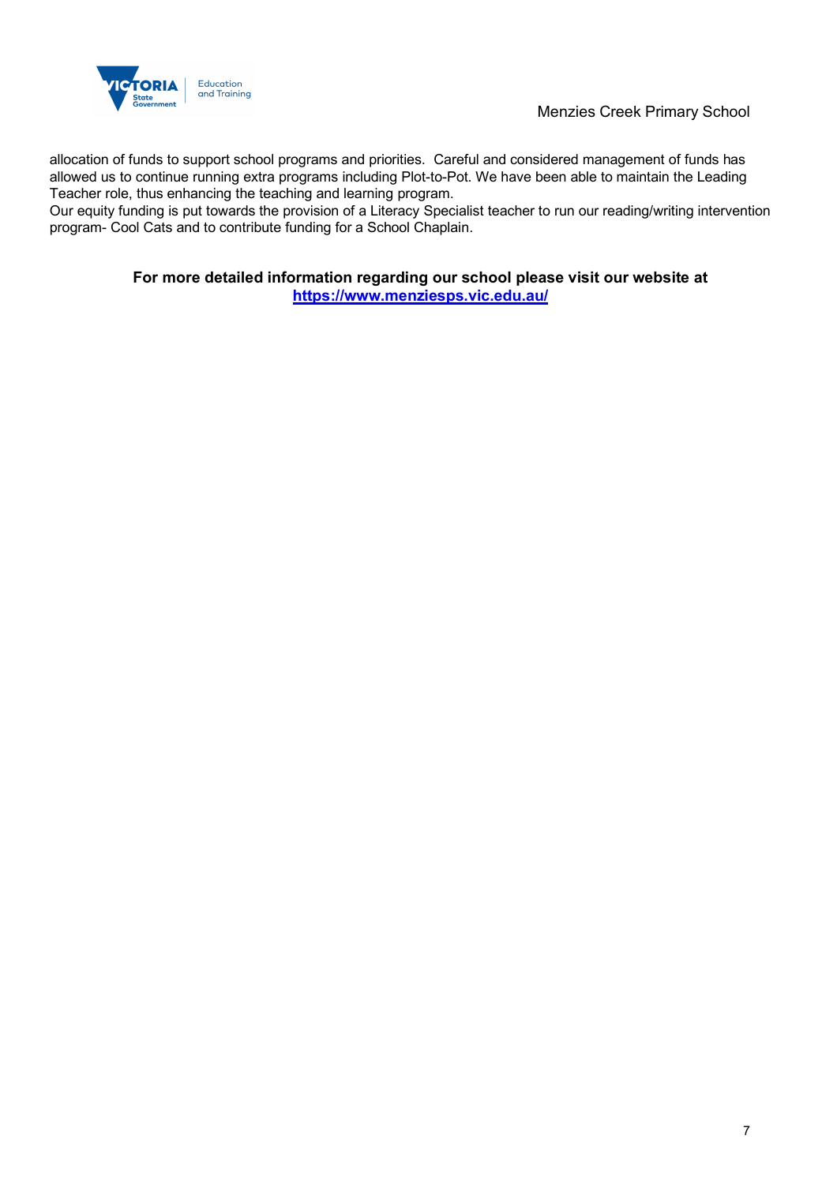

allocation of funds to support school programs and priorities. Careful and considered management of funds has allowed us to continue running extra programs including Plot-to-Pot. We have been able to maintain the Leading Teacher role, thus enhancing the teaching and learning program.

Our equity funding is put towards the provision of a Literacy Specialist teacher to run our reading/writing intervention program- Cool Cats and to contribute funding for a School Chaplain.

#### **For more detailed information regarding our school please visit our website at https://www.menziesps.vic.edu.au/**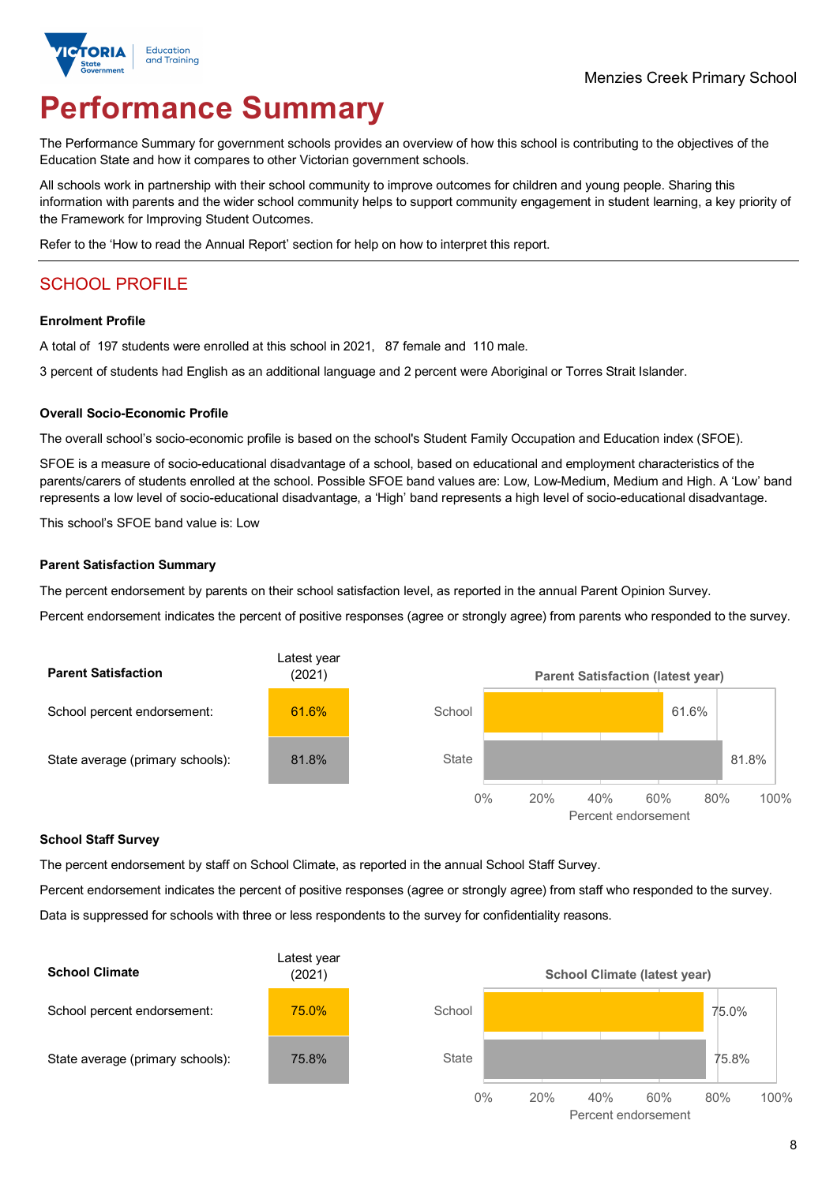

# **Performance Summary**

The Performance Summary for government schools provides an overview of how this school is contributing to the objectives of the Education State and how it compares to other Victorian government schools.

All schools work in partnership with their school community to improve outcomes for children and young people. Sharing this information with parents and the wider school community helps to support community engagement in student learning, a key priority of the Framework for Improving Student Outcomes.

Refer to the 'How to read the Annual Report' section for help on how to interpret this report.

## SCHOOL PROFILE

#### **Enrolment Profile**

A total of 197 students were enrolled at this school in 2021, 87 female and 110 male.

3 percent of students had English as an additional language and 2 percent were Aboriginal or Torres Strait Islander.

#### **Overall Socio-Economic Profile**

The overall school's socio-economic profile is based on the school's Student Family Occupation and Education index (SFOE).

SFOE is a measure of socio-educational disadvantage of a school, based on educational and employment characteristics of the parents/carers of students enrolled at the school. Possible SFOE band values are: Low, Low-Medium, Medium and High. A 'Low' band represents a low level of socio-educational disadvantage, a 'High' band represents a high level of socio-educational disadvantage.

This school's SFOE band value is: Low

#### **Parent Satisfaction Summary**

The percent endorsement by parents on their school satisfaction level, as reported in the annual Parent Opinion Survey.

Percent endorsement indicates the percent of positive responses (agree or strongly agree) from parents who responded to the survey.



#### **School Staff Survey**

The percent endorsement by staff on School Climate, as reported in the annual School Staff Survey.

Percent endorsement indicates the percent of positive responses (agree or strongly agree) from staff who responded to the survey. Data is suppressed for schools with three or less respondents to the survey for confidentiality reasons.

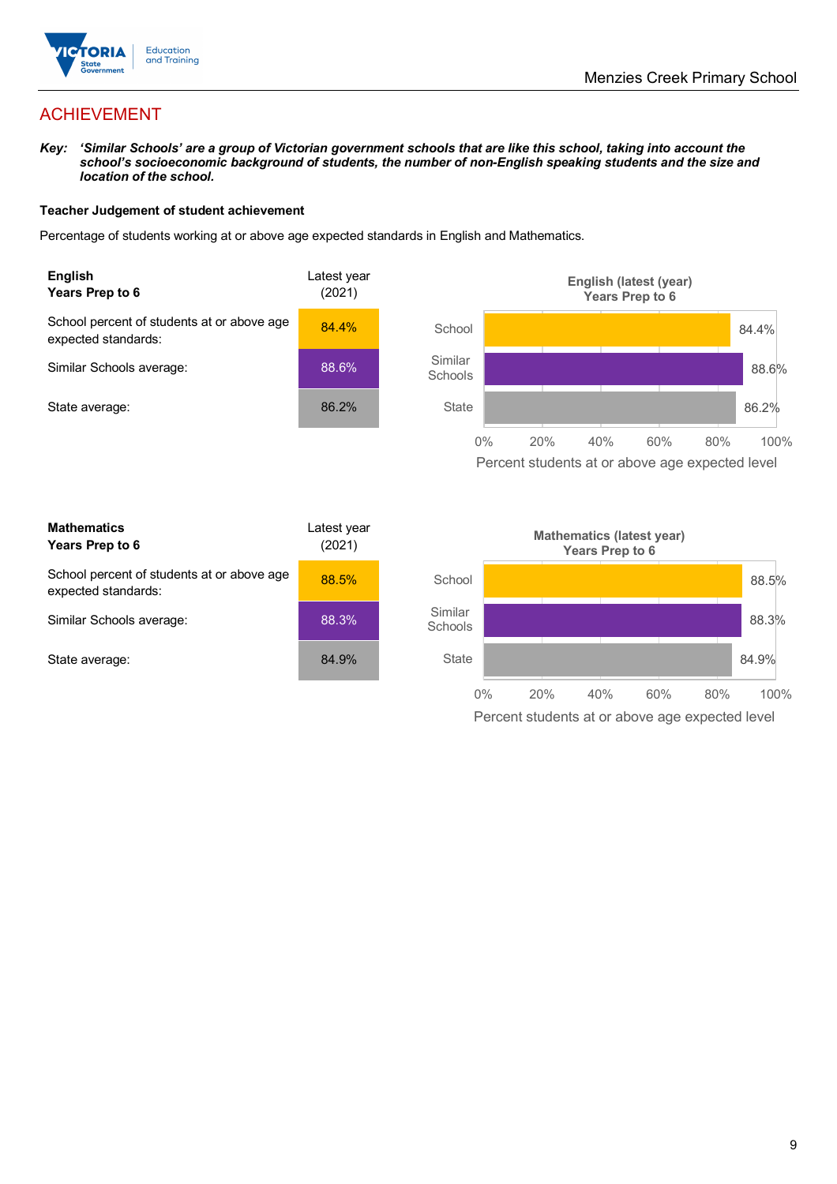

## ACHIEVEMENT

*Key: 'Similar Schools' are a group of Victorian government schools that are like this school, taking into account the*  school's socioeconomic background of students, the number of non-English speaking students and the size and *location of the school.*

#### **Teacher Judgement of student achievement**

Percentage of students working at or above age expected standards in English and Mathematics.



Percent students at or above age expected level

| <b>Mathematics</b><br>Years Prep to 6                             | Latest year<br>(2021) |
|-------------------------------------------------------------------|-----------------------|
| School percent of students at or above age<br>expected standards: | 88.5%                 |
| Similar Schools average:                                          | 88.3%                 |
| State average:                                                    | 84.9%                 |

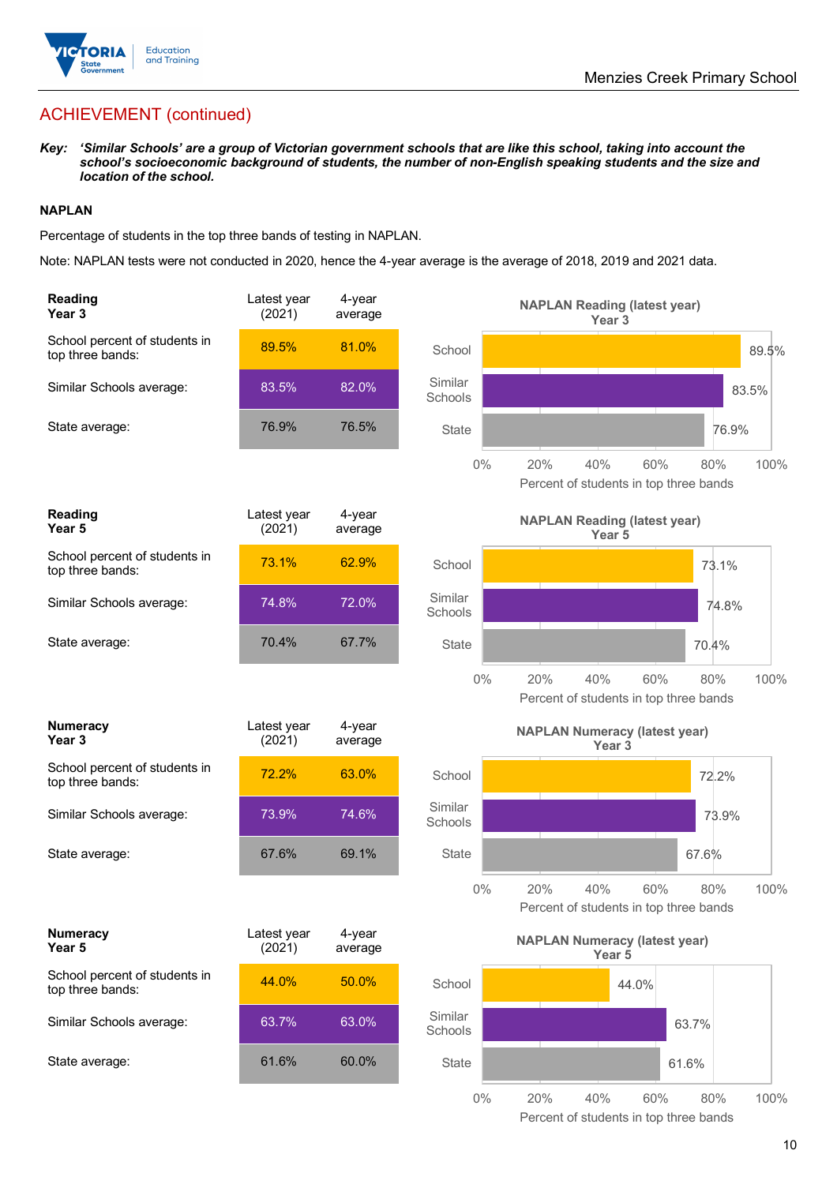

## ACHIEVEMENT (continued)

*Key: 'Similar Schools' are a group of Victorian government schools that are like this school, taking into account the school's socioeconomic background of students, the number of non-English speaking students and the size and location of the school.*

#### **NAPLAN**

Percentage of students in the top three bands of testing in NAPLAN.

Note: NAPLAN tests were not conducted in 2020, hence the 4-year average is the average of 2018, 2019 and 2021 data.

| <b>Reading</b><br>Year 3                          | Latest year<br>(2021) | 4-year<br>average |                    | <b>NAPLAN Reading (latest year)</b><br>Year <sub>3</sub>                   |
|---------------------------------------------------|-----------------------|-------------------|--------------------|----------------------------------------------------------------------------|
| School percent of students in<br>top three bands: | 89.5%                 | 81.0%             | School             | 89.5%                                                                      |
| Similar Schools average:                          | 83.5%                 | 82.0%             | Similar<br>Schools | 83.5%                                                                      |
| State average:                                    | 76.9%                 | 76.5%             | State              | 76.9%                                                                      |
|                                                   |                       |                   | $0\%$              | 20%<br>40%<br>60%<br>100%<br>80%<br>Percent of students in top three bands |
| <b>Reading</b><br>Year 5                          | Latest year<br>(2021) | 4-year<br>average |                    | <b>NAPLAN Reading (latest year)</b><br>Year 5                              |
| School percent of students in<br>top three bands: | 73.1%                 | 62.9%             | School             | 73.1%                                                                      |
| Similar Schools average:                          | 74.8%                 | 72.0%             | Similar<br>Schools | 74.8%                                                                      |
| State average:                                    | 70.4%                 | 67.7%             | <b>State</b>       | 70.4%                                                                      |
|                                                   |                       |                   | $0\%$              | 20%<br>40%<br>60%<br>80%<br>100%<br>Percent of students in top three bands |
| <b>Numeracy</b><br>Year <sub>3</sub>              | Latest year<br>(2021) | 4-year<br>average |                    | <b>NAPLAN Numeracy (latest year)</b><br>Year <sub>3</sub>                  |
| School percent of students in<br>top three bands: | 72.2%                 | 63.0%             | School             | 72.2%                                                                      |
| Similar Schools average:                          | 73.9%                 | 74.6%             | Similar<br>Schools | 73.9%                                                                      |
| State average:                                    | 67.6%                 | 69.1%             | <b>State</b>       | 67.6%                                                                      |
|                                                   |                       |                   | $0\%$              | 20%<br>40%<br>60%<br>100%<br>80%<br>Percent of students in top three bands |
| <b>Numeracy</b><br>Year 5                         | Latest year<br>(2021) | 4-year<br>average |                    | <b>NAPLAN Numeracy (latest year)</b><br>Year 5                             |
| School percent of students in<br>top three bands: | 44.0%                 | 50.0%             | School             | 44.0%                                                                      |
| Similar Schools average:                          | 63.7%                 | 63.0%             | Similar<br>Schools | 63.7%                                                                      |
| State average:                                    | 61.6%                 | 60.0%             | State              | 61.6%                                                                      |
|                                                   |                       |                   | $0\%$              | 20%<br>40%<br>80%<br>60%<br>100%                                           |

Percent of students in top three bands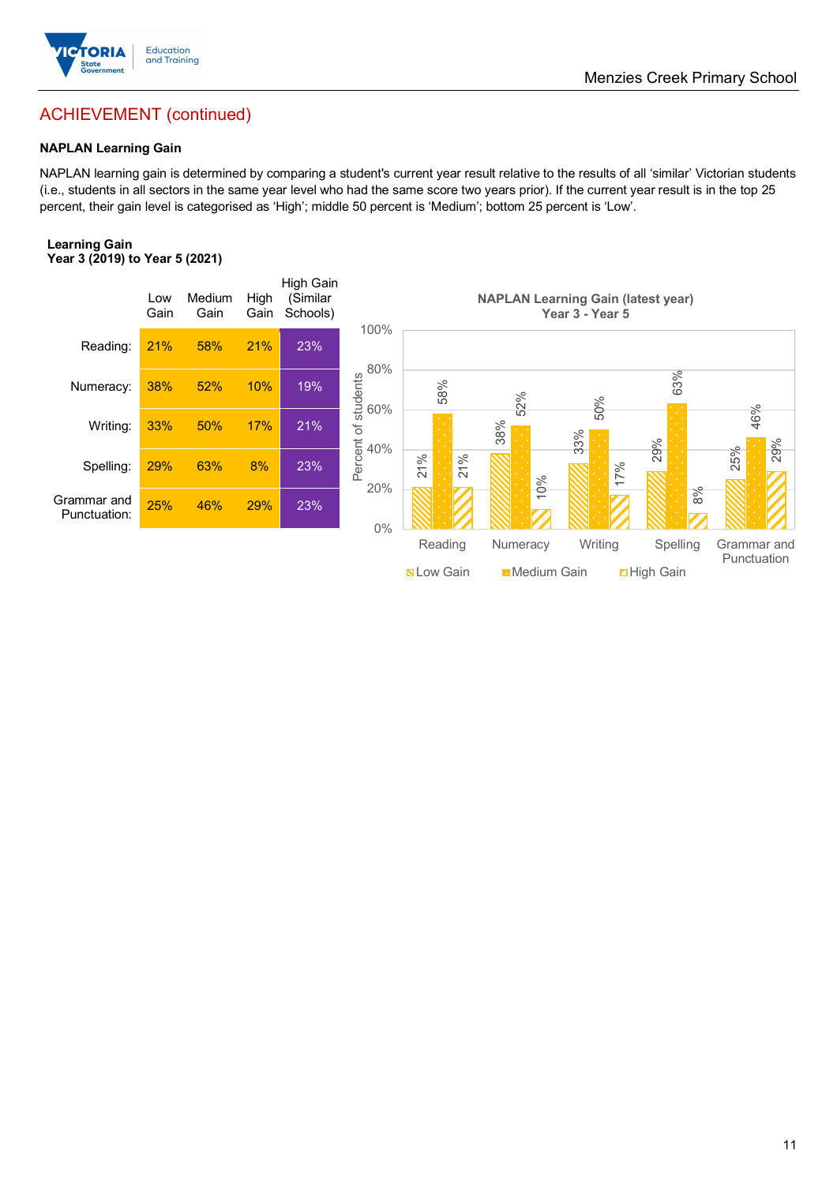

## ACHIEVEMENT (continued)

#### **NAPLAN Learning Gain**

NAPLAN learning gain is determined by comparing a student's current year result relative to the results of all 'similar' Victorian students (i.e., students in all sectors in the same year level who had the same score two years prior). If the current year result is in the top 25 percent, their gain level is categorised as 'High'; middle 50 percent is 'Medium'; bottom 25 percent is 'Low'.

#### **Learning Gain Year 3 (2019) to Year 5 (2021)**

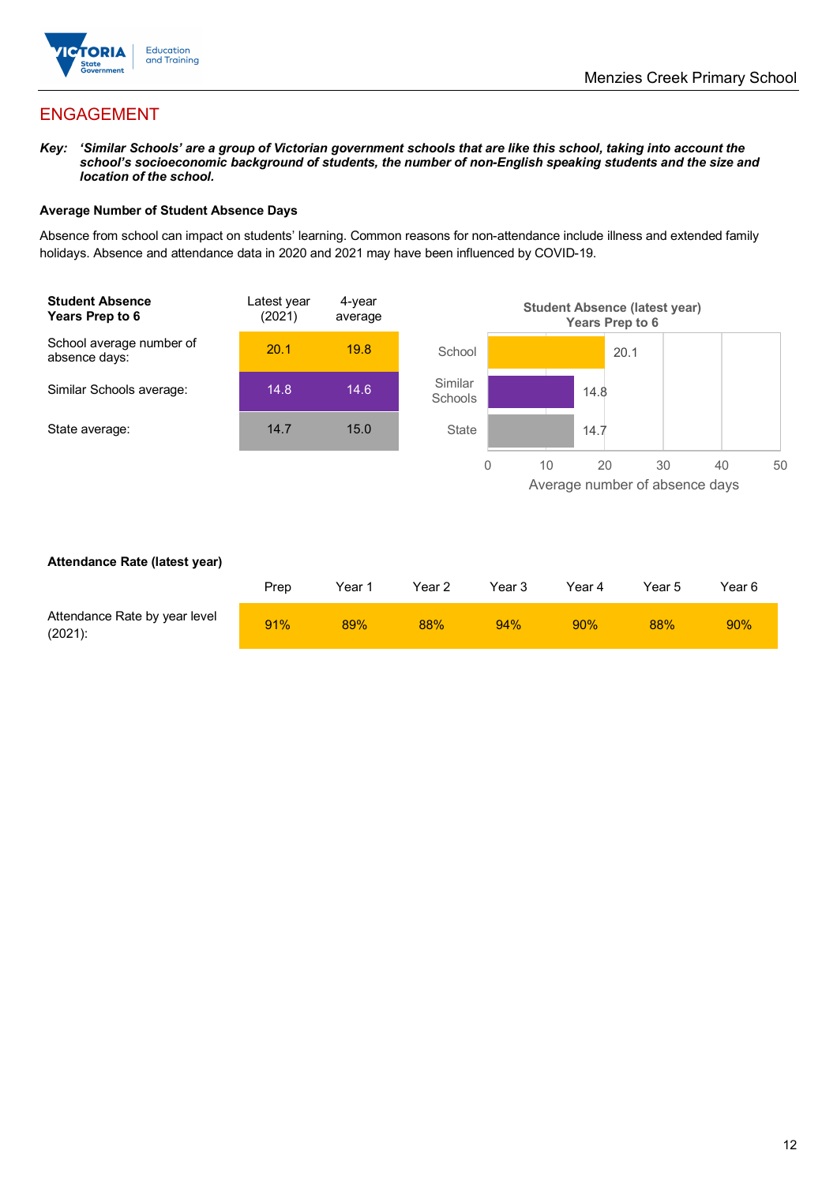

## ENGAGEMENT

*Key: 'Similar Schools' are a group of Victorian government schools that are like this school, taking into account the*  school's socioeconomic background of students, the number of non-English speaking students and the size and *location of the school.*

#### **Average Number of Student Absence Days**

Absence from school can impact on students' learning. Common reasons for non-attendance include illness and extended family holidays. Absence and attendance data in 2020 and 2021 may have been influenced by COVID-19.



#### **Attendance Rate (latest year)**

|                                             | Prep | Year 1 | Year 2 | Year 3 | Year 4 | Year 5 | Year 6 |
|---------------------------------------------|------|--------|--------|--------|--------|--------|--------|
| Attendance Rate by year level<br>$(2021)$ : | 91%  | 89%    | 88%    | 94%    | 90%    | 88%    | 90%    |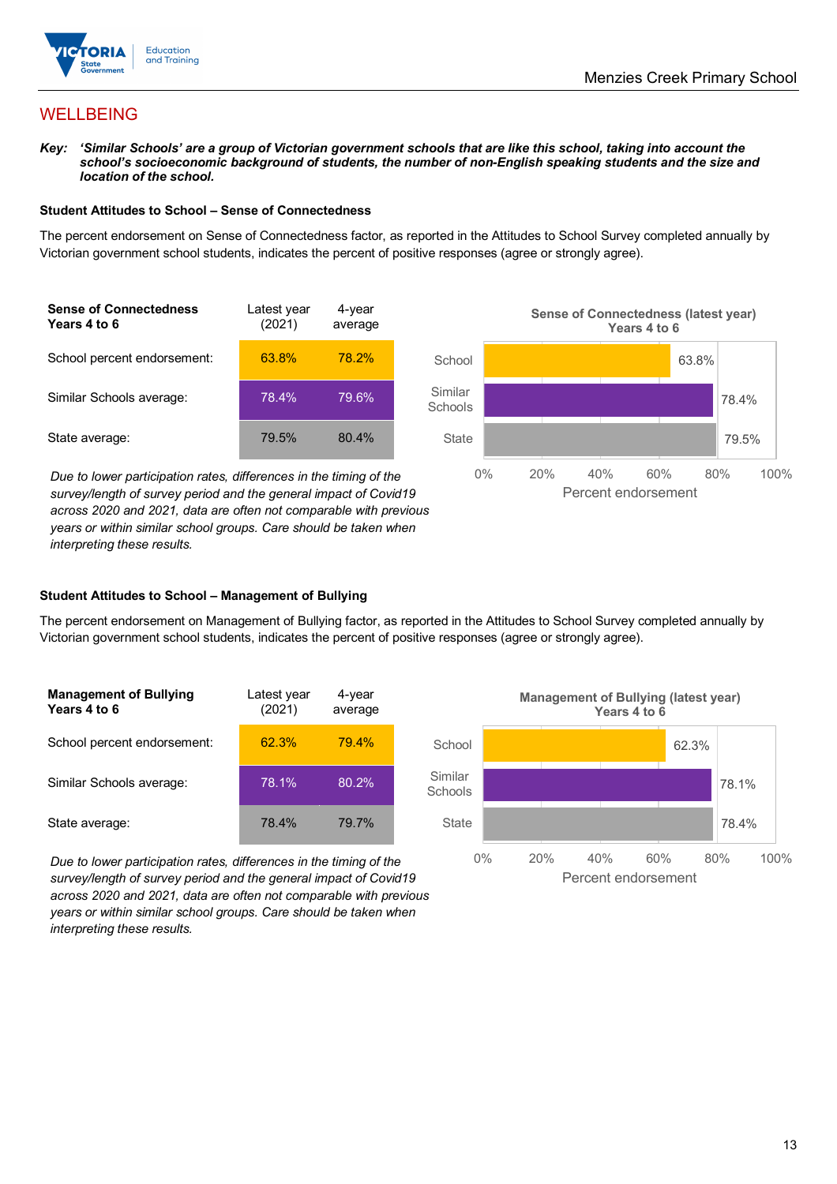

## **WELLBEING**

*Key: 'Similar Schools' are a group of Victorian government schools that are like this school, taking into account the*  school's socioeconomic background of students, the number of non-English speaking students and the size and *location of the school.*

#### **Student Attitudes to School – Sense of Connectedness**

The percent endorsement on Sense of Connectedness factor, as reported in the Attitudes to School Survey completed annually by Victorian government school students, indicates the percent of positive responses (agree or strongly agree).

| <b>Sense of Connectedness</b><br>Years 4 to 6 | Latest year<br>(2021) | 4-year<br>average |  |
|-----------------------------------------------|-----------------------|-------------------|--|
| School percent endorsement:                   | 63.8%                 | 78.2%             |  |
| Similar Schools average:                      | 78.4%                 | 79.6%             |  |
| State average:                                | 79.5%                 | 80.4%             |  |

*Due to lower participation rates, differences in the timing of the survey/length of survey period and the general impact of Covid19 across 2020 and 2021, data are often not comparable with previous years or within similar school groups. Care should be taken when interpreting these results.*



#### **Student Attitudes to School – Management of Bullying**

The percent endorsement on Management of Bullying factor, as reported in the Attitudes to School Survey completed annually by Victorian government school students, indicates the percent of positive responses (agree or strongly agree).

| <b>Management of Bullying</b><br>Years 4 to 6 | Latest year<br>(2021) | 4-year<br>average |  |
|-----------------------------------------------|-----------------------|-------------------|--|
| School percent endorsement:                   | 62.3%                 | 79.4%             |  |
| Similar Schools average:                      | 78.1%                 | 80.2%             |  |
| State average:                                | 78.4%                 | 79.7%             |  |

*Due to lower participation rates, differences in the timing of the survey/length of survey period and the general impact of Covid19 across 2020 and 2021, data are often not comparable with previous years or within similar school groups. Care should be taken when interpreting these results.*

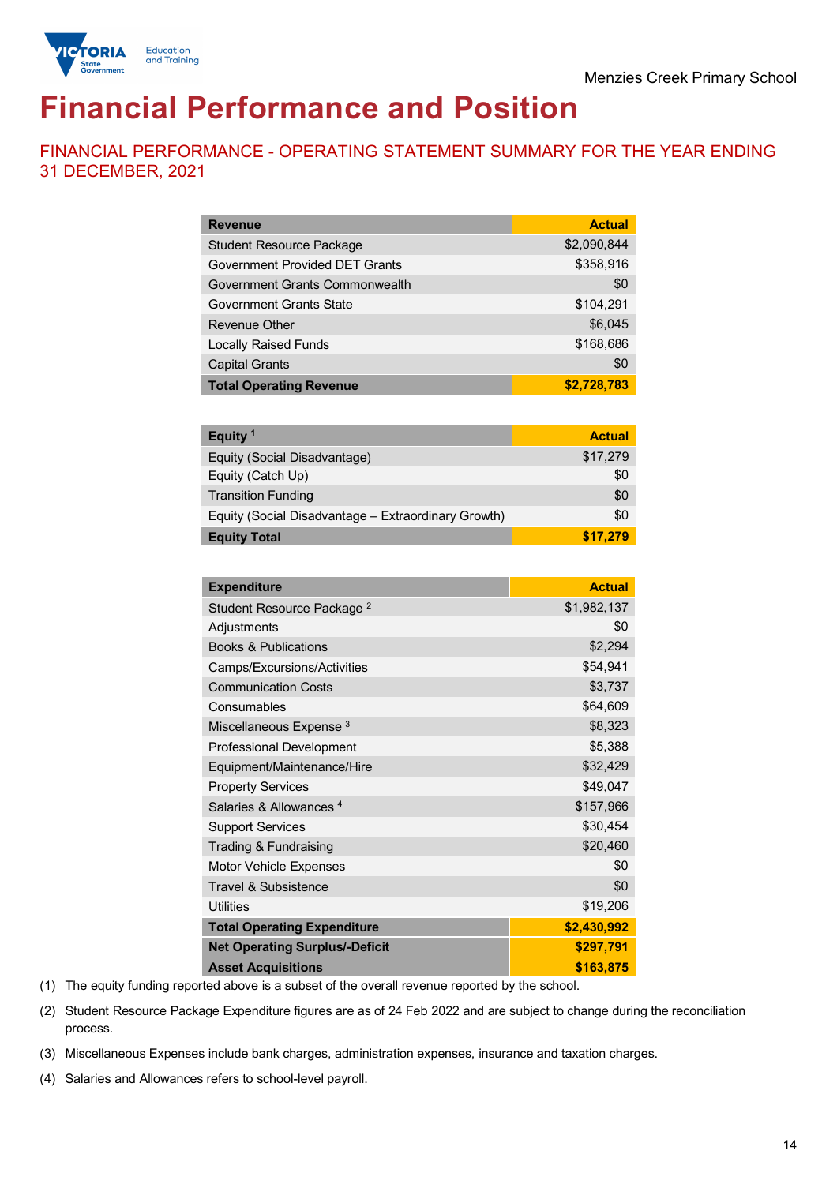

# **Financial Performance and Position**

FINANCIAL PERFORMANCE - OPERATING STATEMENT SUMMARY FOR THE YEAR ENDING 31 DECEMBER, 2021

| <b>Revenue</b>                  | <b>Actual</b> |
|---------------------------------|---------------|
| <b>Student Resource Package</b> | \$2,090,844   |
| Government Provided DET Grants  | \$358,916     |
| Government Grants Commonwealth  | \$0           |
| Government Grants State         | \$104,291     |
| <b>Revenue Other</b>            | \$6,045       |
| <b>Locally Raised Funds</b>     | \$168,686     |
| <b>Capital Grants</b>           | \$0           |
| <b>Total Operating Revenue</b>  | \$2,728,783   |

| Equity <sup>1</sup>                                 | <b>Actual</b> |
|-----------------------------------------------------|---------------|
| Equity (Social Disadvantage)                        | \$17,279      |
| Equity (Catch Up)                                   | \$0           |
| <b>Transition Funding</b>                           | \$0           |
| Equity (Social Disadvantage - Extraordinary Growth) | \$0           |
| <b>Equity Total</b>                                 | \$17.279      |

| <b>Expenditure</b>                    | <b>Actual</b> |
|---------------------------------------|---------------|
| Student Resource Package <sup>2</sup> | \$1,982,137   |
| Adjustments                           | \$0           |
| <b>Books &amp; Publications</b>       | \$2,294       |
| Camps/Excursions/Activities           | \$54,941      |
| <b>Communication Costs</b>            | \$3,737       |
| Consumables                           | \$64,609      |
| Miscellaneous Expense <sup>3</sup>    | \$8,323       |
| <b>Professional Development</b>       | \$5,388       |
| Equipment/Maintenance/Hire            | \$32,429      |
| <b>Property Services</b>              | \$49,047      |
| Salaries & Allowances <sup>4</sup>    | \$157,966     |
| <b>Support Services</b>               | \$30,454      |
| Trading & Fundraising                 | \$20,460      |
| Motor Vehicle Expenses                | \$0           |
| Travel & Subsistence                  | \$0           |
| <b>Utilities</b>                      | \$19,206      |
| <b>Total Operating Expenditure</b>    | \$2,430,992   |
| <b>Net Operating Surplus/-Deficit</b> | \$297,791     |
| <b>Asset Acquisitions</b>             | \$163,875     |

(1) The equity funding reported above is a subset of the overall revenue reported by the school.

(2) Student Resource Package Expenditure figures are as of 24 Feb 2022 and are subject to change during the reconciliation process.

(3) Miscellaneous Expenses include bank charges, administration expenses, insurance and taxation charges.

(4) Salaries and Allowances refers to school-level payroll.